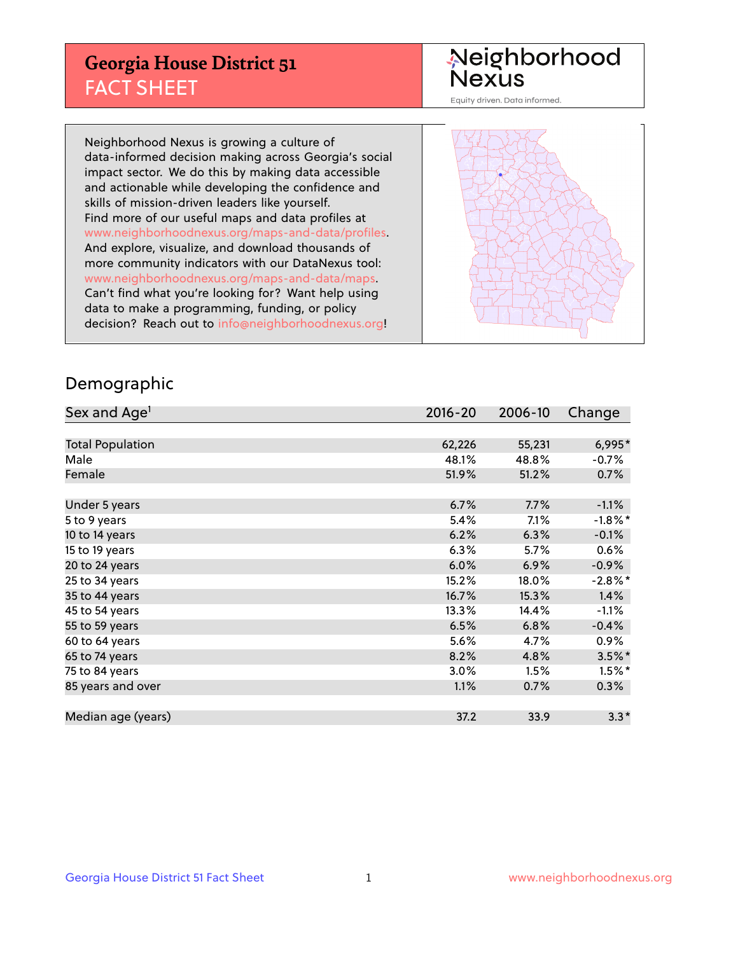## **Georgia House District 51** FACT SHEET

# Neighborhood<br>Nexus

Equity driven. Data informed.

Neighborhood Nexus is growing a culture of data-informed decision making across Georgia's social impact sector. We do this by making data accessible and actionable while developing the confidence and skills of mission-driven leaders like yourself. Find more of our useful maps and data profiles at www.neighborhoodnexus.org/maps-and-data/profiles. And explore, visualize, and download thousands of more community indicators with our DataNexus tool: www.neighborhoodnexus.org/maps-and-data/maps. Can't find what you're looking for? Want help using data to make a programming, funding, or policy decision? Reach out to [info@neighborhoodnexus.org!](mailto:info@neighborhoodnexus.org)



### Demographic

| Sex and Age <sup>1</sup> | $2016 - 20$ | 2006-10 | Change     |
|--------------------------|-------------|---------|------------|
|                          |             |         |            |
| <b>Total Population</b>  | 62,226      | 55,231  | 6,995*     |
| Male                     | 48.1%       | 48.8%   | $-0.7\%$   |
| Female                   | 51.9%       | 51.2%   | 0.7%       |
|                          |             |         |            |
| Under 5 years            | 6.7%        | 7.7%    | $-1.1%$    |
| 5 to 9 years             | 5.4%        | 7.1%    | $-1.8\%$ * |
| 10 to 14 years           | 6.2%        | 6.3%    | $-0.1%$    |
| 15 to 19 years           | 6.3%        | 5.7%    | 0.6%       |
| 20 to 24 years           | 6.0%        | 6.9%    | $-0.9%$    |
| 25 to 34 years           | 15.2%       | 18.0%   | $-2.8\%$ * |
| 35 to 44 years           | 16.7%       | 15.3%   | 1.4%       |
| 45 to 54 years           | 13.3%       | 14.4%   | $-1.1%$    |
| 55 to 59 years           | 6.5%        | 6.8%    | $-0.4%$    |
| 60 to 64 years           | 5.6%        | 4.7%    | $0.9\%$    |
| 65 to 74 years           | 8.2%        | 4.8%    | $3.5%$ *   |
| 75 to 84 years           | $3.0\%$     | 1.5%    | $1.5%$ *   |
| 85 years and over        | 1.1%        | 0.7%    | 0.3%       |
|                          |             |         |            |
| Median age (years)       | 37.2        | 33.9    | $3.3*$     |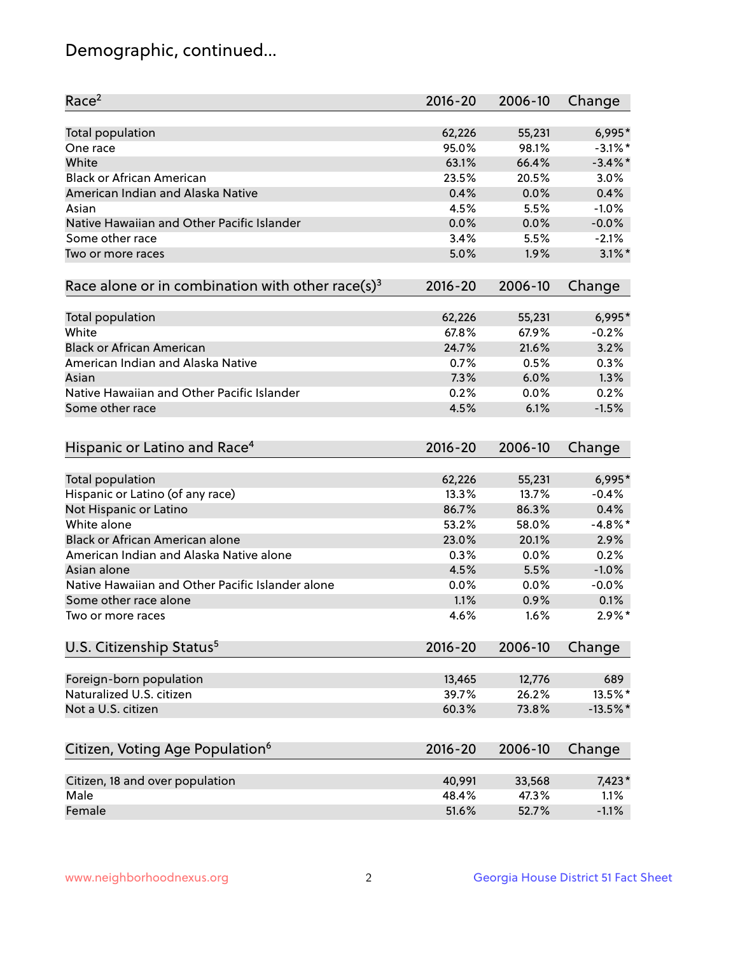## Demographic, continued...

| Race <sup>2</sup>                                            | $2016 - 20$ | 2006-10 | Change     |
|--------------------------------------------------------------|-------------|---------|------------|
| <b>Total population</b>                                      | 62,226      | 55,231  | 6,995*     |
| One race                                                     | 95.0%       | 98.1%   | $-3.1\%$ * |
| White                                                        | 63.1%       | 66.4%   | $-3.4\%$ * |
| <b>Black or African American</b>                             | 23.5%       | 20.5%   | 3.0%       |
| American Indian and Alaska Native                            | 0.4%        | 0.0%    | 0.4%       |
| Asian                                                        | 4.5%        | 5.5%    | $-1.0%$    |
| Native Hawaiian and Other Pacific Islander                   | 0.0%        | 0.0%    | $-0.0%$    |
| Some other race                                              | 3.4%        | 5.5%    | $-2.1%$    |
| Two or more races                                            | 5.0%        | 1.9%    | $3.1\%$ *  |
| Race alone or in combination with other race(s) <sup>3</sup> | $2016 - 20$ | 2006-10 | Change     |
| Total population                                             | 62,226      | 55,231  | 6,995*     |
| White                                                        | 67.8%       | 67.9%   | $-0.2%$    |
| <b>Black or African American</b>                             | 24.7%       | 21.6%   | 3.2%       |
| American Indian and Alaska Native                            | 0.7%        | 0.5%    | 0.3%       |
| Asian                                                        | 7.3%        | 6.0%    | 1.3%       |
| Native Hawaiian and Other Pacific Islander                   | 0.2%        | 0.0%    | 0.2%       |
| Some other race                                              | 4.5%        | 6.1%    | $-1.5%$    |
| Hispanic or Latino and Race <sup>4</sup>                     | $2016 - 20$ | 2006-10 | Change     |
| Total population                                             | 62,226      | 55,231  | $6,995*$   |
| Hispanic or Latino (of any race)                             | 13.3%       | 13.7%   | $-0.4%$    |
| Not Hispanic or Latino                                       | 86.7%       | 86.3%   | 0.4%       |
| White alone                                                  | 53.2%       | 58.0%   | $-4.8\%$ * |
| <b>Black or African American alone</b>                       | 23.0%       | 20.1%   | 2.9%       |
| American Indian and Alaska Native alone                      | 0.3%        | 0.0%    | 0.2%       |
| Asian alone                                                  | 4.5%        | 5.5%    | $-1.0%$    |
| Native Hawaiian and Other Pacific Islander alone             | 0.0%        | 0.0%    | $-0.0%$    |
| Some other race alone                                        | 1.1%        | 0.9%    | 0.1%       |
| Two or more races                                            | 4.6%        | 1.6%    | $2.9\%$ *  |
| U.S. Citizenship Status <sup>5</sup>                         | $2016 - 20$ | 2006-10 | Change     |
| Foreign-born population                                      | 13,465      | 12,776  | 689        |
| Naturalized U.S. citizen                                     | 39.7%       | 26.2%   | 13.5%*     |
| Not a U.S. citizen                                           | 60.3%       | 73.8%   | $-13.5%$ * |
|                                                              |             |         |            |
| Citizen, Voting Age Population <sup>6</sup>                  | $2016 - 20$ | 2006-10 | Change     |
| Citizen, 18 and over population                              | 40,991      | 33,568  | 7,423*     |
| Male                                                         | 48.4%       | 47.3%   | 1.1%       |
| Female                                                       | 51.6%       | 52.7%   | $-1.1%$    |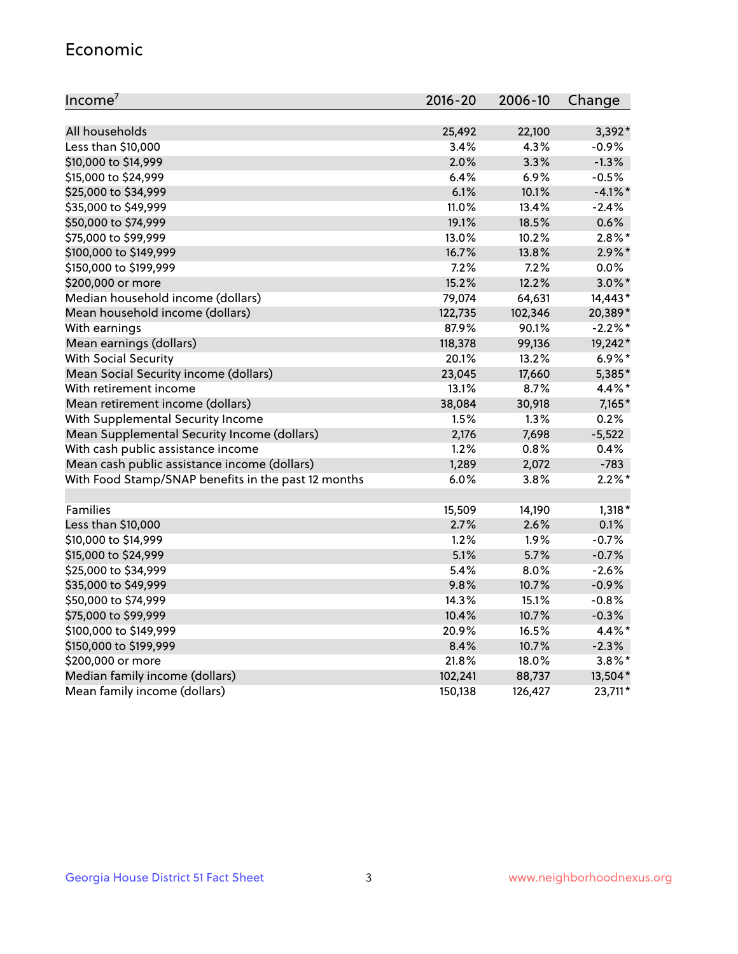#### Economic

| Income <sup>7</sup>                                 | $2016 - 20$ | 2006-10 | Change     |
|-----------------------------------------------------|-------------|---------|------------|
|                                                     |             |         |            |
| All households                                      | 25,492      | 22,100  | 3,392*     |
| Less than \$10,000                                  | 3.4%        | 4.3%    | $-0.9%$    |
| \$10,000 to \$14,999                                | 2.0%        | 3.3%    | $-1.3%$    |
| \$15,000 to \$24,999                                | 6.4%        | 6.9%    | $-0.5%$    |
| \$25,000 to \$34,999                                | 6.1%        | 10.1%   | $-4.1\%$ * |
| \$35,000 to \$49,999                                | 11.0%       | 13.4%   | $-2.4%$    |
| \$50,000 to \$74,999                                | 19.1%       | 18.5%   | 0.6%       |
| \$75,000 to \$99,999                                | 13.0%       | 10.2%   | $2.8\%$ *  |
| \$100,000 to \$149,999                              | 16.7%       | 13.8%   | $2.9\%$ *  |
| \$150,000 to \$199,999                              | 7.2%        | 7.2%    | 0.0%       |
| \$200,000 or more                                   | 15.2%       | 12.2%   | $3.0\%$ *  |
| Median household income (dollars)                   | 79,074      | 64,631  | 14,443*    |
| Mean household income (dollars)                     | 122,735     | 102,346 | 20,389*    |
| With earnings                                       | 87.9%       | 90.1%   | $-2.2%$ *  |
| Mean earnings (dollars)                             | 118,378     | 99,136  | 19,242*    |
| <b>With Social Security</b>                         | 20.1%       | 13.2%   | $6.9\%$ *  |
| Mean Social Security income (dollars)               | 23,045      | 17,660  | 5,385*     |
| With retirement income                              | 13.1%       | 8.7%    | 4.4%*      |
| Mean retirement income (dollars)                    | 38,084      | 30,918  | $7,165*$   |
| With Supplemental Security Income                   | 1.5%        | 1.3%    | 0.2%       |
| Mean Supplemental Security Income (dollars)         | 2,176       | 7,698   | $-5,522$   |
| With cash public assistance income                  | 1.2%        | 0.8%    | 0.4%       |
| Mean cash public assistance income (dollars)        | 1,289       | 2,072   | $-783$     |
| With Food Stamp/SNAP benefits in the past 12 months | 6.0%        | 3.8%    | $2.2\%$ *  |
|                                                     |             |         |            |
| Families                                            | 15,509      | 14,190  | $1,318*$   |
| Less than \$10,000                                  | 2.7%        | 2.6%    | 0.1%       |
| \$10,000 to \$14,999                                | 1.2%        | 1.9%    | $-0.7%$    |
| \$15,000 to \$24,999                                | 5.1%        | 5.7%    | $-0.7%$    |
| \$25,000 to \$34,999                                | 5.4%        | 8.0%    | $-2.6%$    |
| \$35,000 to \$49,999                                | 9.8%        | 10.7%   | $-0.9%$    |
| \$50,000 to \$74,999                                | 14.3%       | 15.1%   | $-0.8%$    |
| \$75,000 to \$99,999                                | 10.4%       | 10.7%   | $-0.3%$    |
| \$100,000 to \$149,999                              | 20.9%       | 16.5%   | 4.4%*      |
| \$150,000 to \$199,999                              | 8.4%        | 10.7%   | $-2.3%$    |
| \$200,000 or more                                   | 21.8%       | 18.0%   | $3.8\%$ *  |
| Median family income (dollars)                      | 102,241     | 88,737  | 13,504*    |
| Mean family income (dollars)                        | 150,138     | 126,427 | 23,711*    |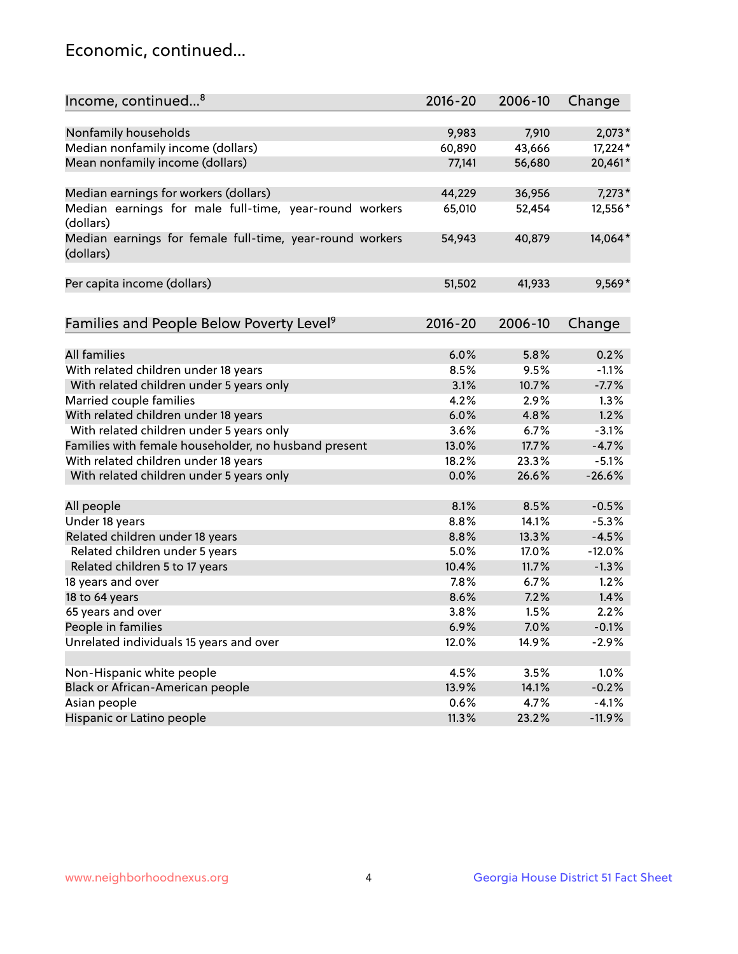## Economic, continued...

| Income, continued <sup>8</sup>                                        | $2016 - 20$ | 2006-10 | Change   |
|-----------------------------------------------------------------------|-------------|---------|----------|
|                                                                       |             |         |          |
| Nonfamily households                                                  | 9,983       | 7,910   | $2,073*$ |
| Median nonfamily income (dollars)                                     | 60,890      | 43,666  | 17,224*  |
| Mean nonfamily income (dollars)                                       | 77,141      | 56,680  | 20,461*  |
| Median earnings for workers (dollars)                                 | 44,229      | 36,956  | $7,273*$ |
| Median earnings for male full-time, year-round workers<br>(dollars)   | 65,010      | 52,454  | 12,556*  |
| Median earnings for female full-time, year-round workers<br>(dollars) | 54,943      | 40,879  | 14,064*  |
| Per capita income (dollars)                                           | 51,502      | 41,933  | $9,569*$ |
| Families and People Below Poverty Level <sup>9</sup>                  | $2016 - 20$ | 2006-10 | Change   |
|                                                                       |             |         |          |
| <b>All families</b>                                                   | 6.0%        | 5.8%    | 0.2%     |
| With related children under 18 years                                  | 8.5%        | 9.5%    | $-1.1%$  |
| With related children under 5 years only                              | 3.1%        | 10.7%   | $-7.7%$  |
| Married couple families                                               | 4.2%        | 2.9%    | 1.3%     |
| With related children under 18 years                                  | 6.0%        | 4.8%    | 1.2%     |
| With related children under 5 years only                              | 3.6%        | 6.7%    | $-3.1%$  |
| Families with female householder, no husband present                  | 13.0%       | 17.7%   | $-4.7%$  |
| With related children under 18 years                                  | 18.2%       | 23.3%   | $-5.1%$  |
| With related children under 5 years only                              | 0.0%        | 26.6%   | $-26.6%$ |
| All people                                                            | 8.1%        | 8.5%    | $-0.5%$  |
| Under 18 years                                                        | 8.8%        | 14.1%   | $-5.3%$  |
| Related children under 18 years                                       | 8.8%        | 13.3%   | $-4.5%$  |
| Related children under 5 years                                        | 5.0%        | 17.0%   | $-12.0%$ |
| Related children 5 to 17 years                                        | 10.4%       | 11.7%   | $-1.3%$  |
| 18 years and over                                                     | 7.8%        | 6.7%    | 1.2%     |
| 18 to 64 years                                                        | 8.6%        | 7.2%    | 1.4%     |
| 65 years and over                                                     | 3.8%        | 1.5%    | 2.2%     |
| People in families                                                    | 6.9%        | 7.0%    | $-0.1%$  |
| Unrelated individuals 15 years and over                               | 12.0%       | 14.9%   | $-2.9%$  |
|                                                                       |             |         |          |
| Non-Hispanic white people                                             | 4.5%        | 3.5%    | 1.0%     |
| Black or African-American people                                      | 13.9%       | 14.1%   | $-0.2%$  |
| Asian people                                                          | 0.6%        | 4.7%    | $-4.1%$  |
| Hispanic or Latino people                                             | 11.3%       | 23.2%   | $-11.9%$ |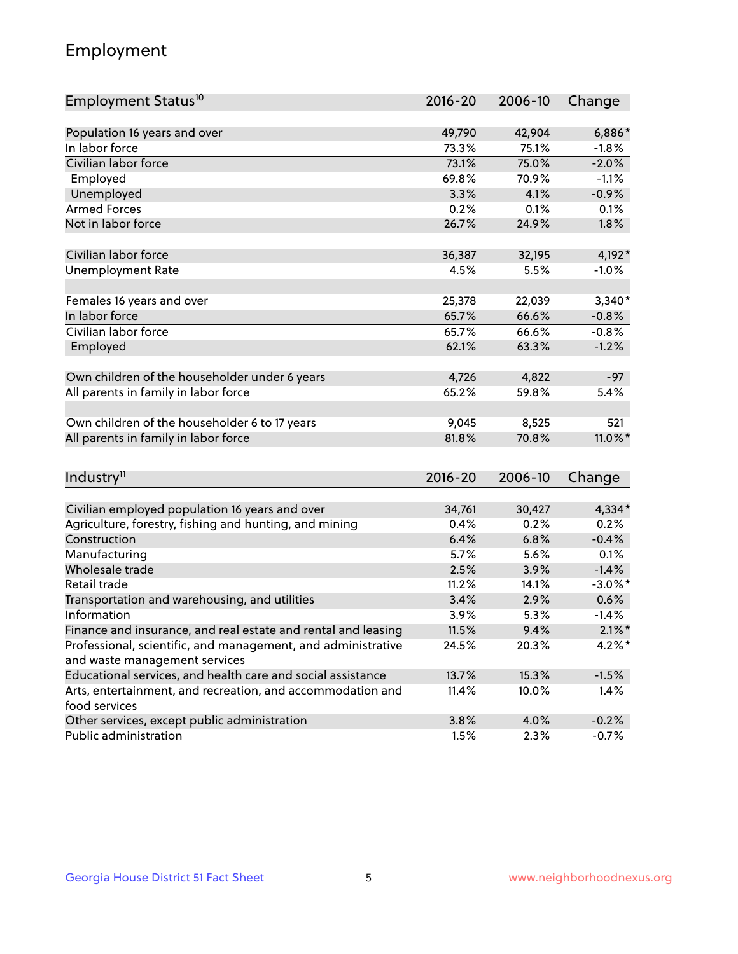## Employment

| Employment Status <sup>10</sup>                                                               | $2016 - 20$   | 2006-10      | Change          |
|-----------------------------------------------------------------------------------------------|---------------|--------------|-----------------|
|                                                                                               |               |              |                 |
| Population 16 years and over                                                                  | 49,790        | 42,904       | 6,886*          |
| In labor force                                                                                | 73.3%         | 75.1%        | $-1.8%$         |
| Civilian labor force                                                                          | 73.1%         | 75.0%        | $-2.0%$         |
| Employed                                                                                      | 69.8%         | 70.9%        | $-1.1%$         |
| Unemployed                                                                                    | 3.3%          | 4.1%         | $-0.9%$         |
| <b>Armed Forces</b>                                                                           | 0.2%          | 0.1%         | 0.1%            |
| Not in labor force                                                                            | 26.7%         | 24.9%        | 1.8%            |
|                                                                                               |               |              |                 |
| Civilian labor force                                                                          | 36,387        | 32,195       | 4,192*          |
| <b>Unemployment Rate</b>                                                                      | 4.5%          | 5.5%         | $-1.0%$         |
| Females 16 years and over                                                                     | 25,378        | 22,039       | $3,340*$        |
| In labor force                                                                                | 65.7%         | 66.6%        | $-0.8%$         |
| Civilian labor force                                                                          | 65.7%         | 66.6%        | $-0.8%$         |
| Employed                                                                                      | 62.1%         | 63.3%        | $-1.2%$         |
|                                                                                               |               |              |                 |
| Own children of the householder under 6 years                                                 | 4,726         | 4,822        | $-97$           |
| All parents in family in labor force                                                          | 65.2%         | 59.8%        | 5.4%            |
|                                                                                               |               |              |                 |
| Own children of the householder 6 to 17 years                                                 | 9,045         | 8,525        | 521             |
| All parents in family in labor force                                                          | 81.8%         | 70.8%        | 11.0%*          |
|                                                                                               |               |              |                 |
| Industry <sup>11</sup>                                                                        | $2016 - 20$   | 2006-10      | Change          |
|                                                                                               |               |              |                 |
| Civilian employed population 16 years and over                                                | 34,761        | 30,427       | 4,334*          |
| Agriculture, forestry, fishing and hunting, and mining                                        | 0.4%          | 0.2%         | 0.2%            |
| Construction                                                                                  | 6.4%          | 6.8%         | $-0.4%$         |
| Manufacturing<br>Wholesale trade                                                              | 5.7%<br>2.5%  | 5.6%         | 0.1%            |
|                                                                                               |               | 3.9%         | $-1.4%$         |
| Retail trade                                                                                  | 11.2%         | 14.1%        | $-3.0\%$ *      |
| Transportation and warehousing, and utilities<br>Information                                  | 3.4%          | 2.9%         | 0.6%<br>$-1.4%$ |
| Finance and insurance, and real estate and rental and leasing                                 | 3.9%<br>11.5% | 5.3%<br>9.4% | $2.1\%$ *       |
|                                                                                               |               |              | $4.2\%$ *       |
| Professional, scientific, and management, and administrative<br>and waste management services | 24.5%         | 20.3%        |                 |
| Educational services, and health care and social assistance                                   | 13.7%         | 15.3%        | $-1.5%$         |
| Arts, entertainment, and recreation, and accommodation and                                    | 11.4%         | 10.0%        | 1.4%            |
| food services                                                                                 |               |              |                 |
| Other services, except public administration                                                  | 3.8%          | 4.0%         | $-0.2%$         |
| Public administration                                                                         | 1.5%          | 2.3%         | $-0.7%$         |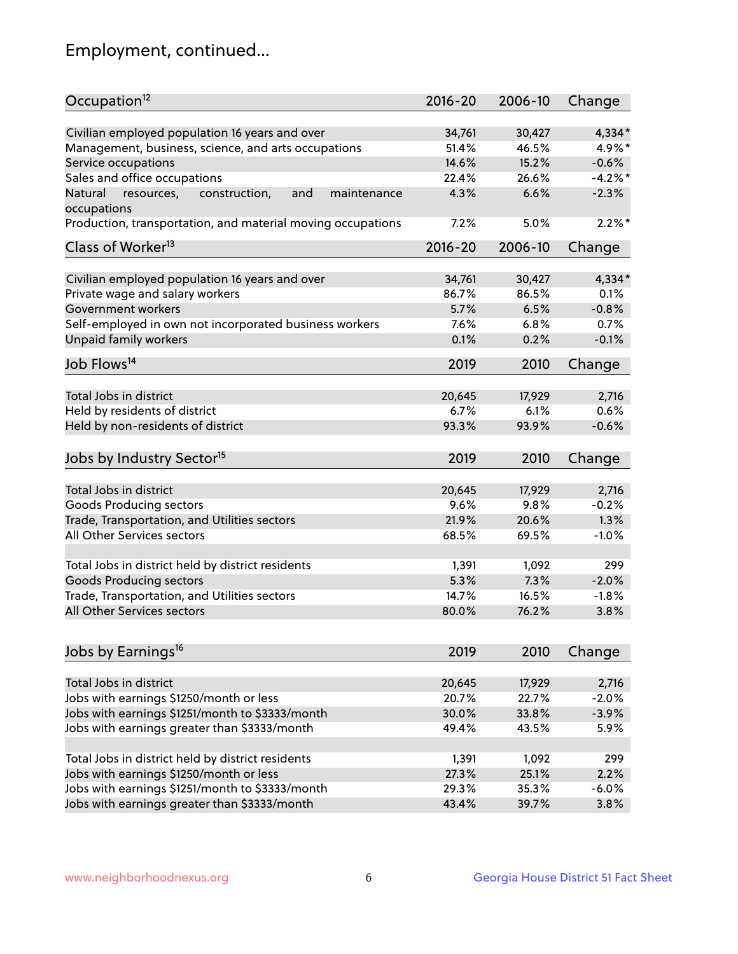## Employment, continued...

| Occupation <sup>12</sup>                                                    | $2016 - 20$ | 2006-10 | Change    |
|-----------------------------------------------------------------------------|-------------|---------|-----------|
| Civilian employed population 16 years and over                              | 34,761      | 30,427  | 4,334*    |
| Management, business, science, and arts occupations                         | 51.4%       | 46.5%   | 4.9%*     |
| Service occupations                                                         | 14.6%       | 15.2%   | $-0.6%$   |
| Sales and office occupations                                                | 22.4%       | 26.6%   | $-4.2%$ * |
|                                                                             |             | 6.6%    |           |
| and<br>Natural<br>resources,<br>construction,<br>maintenance<br>occupations | 4.3%        |         | $-2.3%$   |
| Production, transportation, and material moving occupations                 | 7.2%        | 5.0%    | $2.2\%$ * |
| Class of Worker <sup>13</sup>                                               | $2016 - 20$ | 2006-10 | Change    |
|                                                                             |             |         |           |
| Civilian employed population 16 years and over                              | 34,761      | 30,427  | 4,334*    |
| Private wage and salary workers                                             | 86.7%       | 86.5%   | 0.1%      |
| Government workers                                                          | 5.7%        | 6.5%    | $-0.8%$   |
| Self-employed in own not incorporated business workers                      | 7.6%        | 6.8%    | 0.7%      |
| Unpaid family workers                                                       | 0.1%        | 0.2%    | $-0.1%$   |
| Job Flows <sup>14</sup>                                                     | 2019        | 2010    | Change    |
|                                                                             |             |         |           |
| Total Jobs in district                                                      | 20,645      | 17,929  | 2,716     |
| Held by residents of district                                               | 6.7%        | 6.1%    | 0.6%      |
| Held by non-residents of district                                           | 93.3%       | 93.9%   | $-0.6%$   |
| Jobs by Industry Sector <sup>15</sup>                                       | 2019        | 2010    | Change    |
|                                                                             |             |         |           |
| Total Jobs in district                                                      | 20,645      | 17,929  | 2,716     |
| Goods Producing sectors                                                     | 9.6%        | 9.8%    | $-0.2%$   |
| Trade, Transportation, and Utilities sectors                                | 21.9%       | 20.6%   | 1.3%      |
| All Other Services sectors                                                  | 68.5%       | 69.5%   | $-1.0%$   |
| Total Jobs in district held by district residents                           | 1,391       | 1,092   | 299       |
| <b>Goods Producing sectors</b>                                              | 5.3%        | 7.3%    | $-2.0%$   |
| Trade, Transportation, and Utilities sectors                                | 14.7%       | 16.5%   | $-1.8%$   |
| All Other Services sectors                                                  | 80.0%       | 76.2%   | 3.8%      |
|                                                                             |             |         |           |
| Jobs by Earnings <sup>16</sup>                                              | 2019        | 2010    | Change    |
|                                                                             |             |         |           |
| Total Jobs in district                                                      | 20,645      | 17,929  | 2,716     |
| Jobs with earnings \$1250/month or less                                     | 20.7%       | 22.7%   | $-2.0%$   |
| Jobs with earnings \$1251/month to \$3333/month                             | 30.0%       | 33.8%   | $-3.9%$   |
| Jobs with earnings greater than \$3333/month                                | 49.4%       | 43.5%   | 5.9%      |
| Total Jobs in district held by district residents                           | 1,391       | 1,092   | 299       |
| Jobs with earnings \$1250/month or less                                     | 27.3%       | 25.1%   | 2.2%      |
| Jobs with earnings \$1251/month to \$3333/month                             | 29.3%       | 35.3%   | $-6.0%$   |
| Jobs with earnings greater than \$3333/month                                | 43.4%       | 39.7%   | 3.8%      |
|                                                                             |             |         |           |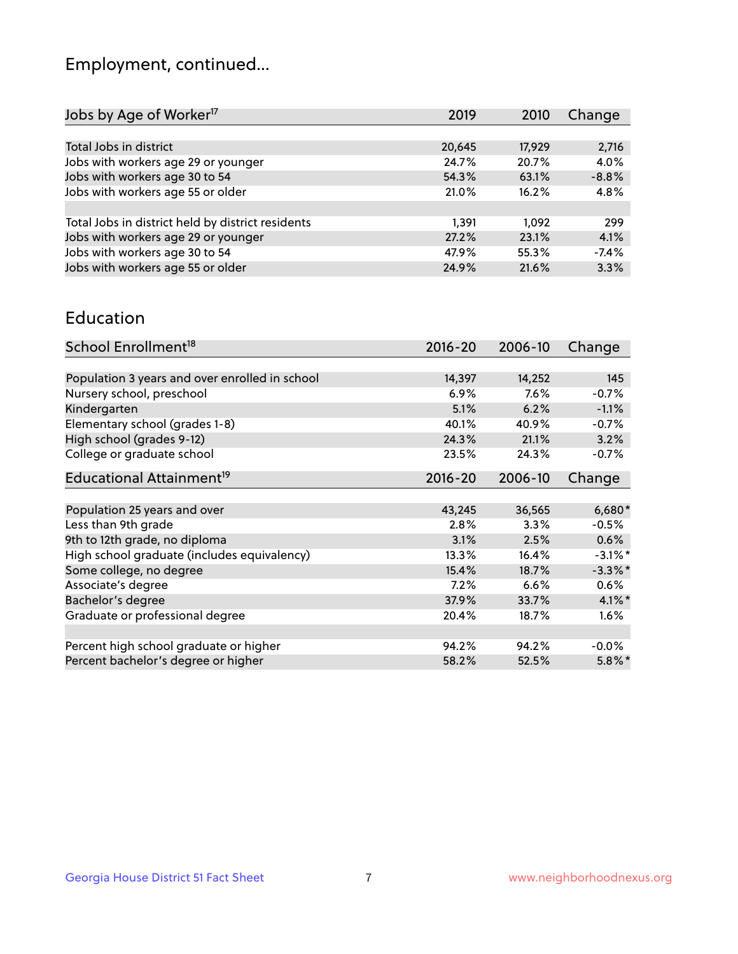## Employment, continued...

| Jobs by Age of Worker <sup>17</sup>               | 2019   | 2010   | Change  |
|---------------------------------------------------|--------|--------|---------|
|                                                   |        |        |         |
| Total Jobs in district                            | 20,645 | 17,929 | 2,716   |
| Jobs with workers age 29 or younger               | 24.7%  | 20.7%  | 4.0%    |
| Jobs with workers age 30 to 54                    | 54.3%  | 63.1%  | $-8.8%$ |
| Jobs with workers age 55 or older                 | 21.0%  | 16.2%  | 4.8%    |
|                                                   |        |        |         |
| Total Jobs in district held by district residents | 1.391  | 1.092  | 299     |
| Jobs with workers age 29 or younger               | 27.2%  | 23.1%  | 4.1%    |
| Jobs with workers age 30 to 54                    | 47.9%  | 55.3%  | $-7.4%$ |
| Jobs with workers age 55 or older                 | 24.9%  | 21.6%  | 3.3%    |
|                                                   |        |        |         |

#### Education

| School Enrollment <sup>18</sup>                | $2016 - 20$ | 2006-10 | Change     |
|------------------------------------------------|-------------|---------|------------|
|                                                |             |         |            |
| Population 3 years and over enrolled in school | 14,397      | 14,252  | 145        |
| Nursery school, preschool                      | 6.9%        | 7.6%    | $-0.7%$    |
| Kindergarten                                   | 5.1%        | 6.2%    | $-1.1%$    |
| Elementary school (grades 1-8)                 | 40.1%       | 40.9%   | $-0.7%$    |
| High school (grades 9-12)                      | 24.3%       | 21.1%   | 3.2%       |
| College or graduate school                     | 23.5%       | 24.3%   | $-0.7%$    |
| Educational Attainment <sup>19</sup>           | $2016 - 20$ | 2006-10 | Change     |
|                                                |             |         |            |
| Population 25 years and over                   | 43,245      | 36,565  | 6,680*     |
| Less than 9th grade                            | 2.8%        | 3.3%    | $-0.5%$    |
| 9th to 12th grade, no diploma                  | 3.1%        | 2.5%    | 0.6%       |
| High school graduate (includes equivalency)    | 13.3%       | 16.4%   | $-3.1\%$ * |
| Some college, no degree                        | 15.4%       | 18.7%   | $-3.3\%$ * |
| Associate's degree                             | 7.2%        | 6.6%    | $0.6\%$    |
| Bachelor's degree                              | 37.9%       | 33.7%   | $4.1\%$ *  |
| Graduate or professional degree                | 20.4%       | 18.7%   | $1.6\%$    |
|                                                |             |         |            |
| Percent high school graduate or higher         | 94.2%       | 94.2%   | $-0.0\%$   |
| Percent bachelor's degree or higher            | 58.2%       | 52.5%   | $5.8\%$ *  |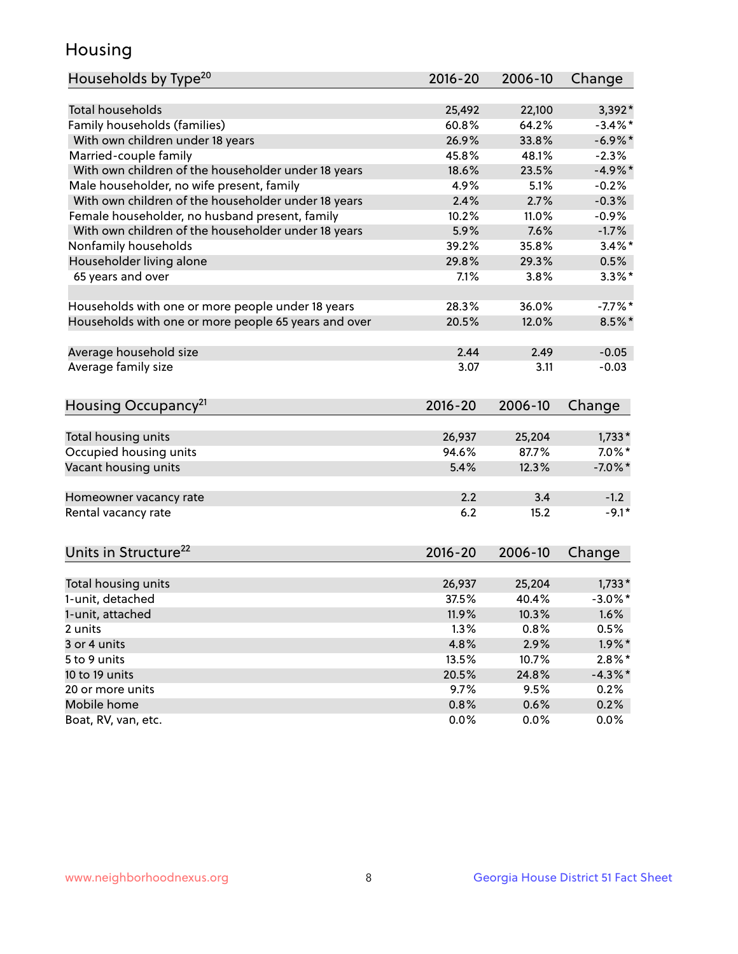## Housing

| Households by Type <sup>20</sup>                     | 2016-20     | 2006-10 | Change     |
|------------------------------------------------------|-------------|---------|------------|
|                                                      |             |         |            |
| <b>Total households</b>                              | 25,492      | 22,100  | $3,392*$   |
| Family households (families)                         | 60.8%       | 64.2%   | $-3.4\%$ * |
| With own children under 18 years                     | 26.9%       | 33.8%   | $-6.9\%$ * |
| Married-couple family                                | 45.8%       | 48.1%   | $-2.3%$    |
| With own children of the householder under 18 years  | 18.6%       | 23.5%   | $-4.9%$ *  |
| Male householder, no wife present, family            | 4.9%        | 5.1%    | $-0.2%$    |
| With own children of the householder under 18 years  | 2.4%        | 2.7%    | $-0.3%$    |
| Female householder, no husband present, family       | 10.2%       | 11.0%   | $-0.9%$    |
| With own children of the householder under 18 years  | 5.9%        | 7.6%    | $-1.7%$    |
| Nonfamily households                                 | 39.2%       | 35.8%   | $3.4\%$ *  |
| Householder living alone                             | 29.8%       | 29.3%   | 0.5%       |
| 65 years and over                                    | 7.1%        | 3.8%    | $3.3\%$ *  |
|                                                      |             |         |            |
| Households with one or more people under 18 years    | 28.3%       | 36.0%   | $-7.7%$ *  |
| Households with one or more people 65 years and over | 20.5%       | 12.0%   | $8.5\%$ *  |
|                                                      |             |         |            |
| Average household size                               | 2.44        | 2.49    | $-0.05$    |
| Average family size                                  | 3.07        | 3.11    | $-0.03$    |
|                                                      |             |         |            |
| Housing Occupancy <sup>21</sup>                      | $2016 - 20$ | 2006-10 | Change     |
|                                                      |             |         |            |
| Total housing units                                  | 26,937      | 25,204  | $1,733*$   |
| Occupied housing units                               | 94.6%       | 87.7%   | $7.0\%$ *  |
| Vacant housing units                                 | 5.4%        | 12.3%   | $-7.0\%$ * |
|                                                      |             |         |            |
| Homeowner vacancy rate                               | 2.2         | 3.4     | $-1.2$     |
| Rental vacancy rate                                  | 6.2         | 15.2    | $-9.1*$    |
|                                                      |             |         |            |
| Units in Structure <sup>22</sup>                     | $2016 - 20$ | 2006-10 | Change     |
|                                                      |             |         |            |
| Total housing units                                  | 26,937      | 25,204  | $1,733*$   |
| 1-unit, detached                                     | 37.5%       | 40.4%   | $-3.0\%$ * |
| 1-unit, attached                                     | 11.9%       | 10.3%   | 1.6%       |
| 2 units                                              | 1.3%        | 0.8%    | 0.5%       |
| 3 or 4 units                                         | 4.8%        | 2.9%    | $1.9\%$ *  |
| 5 to 9 units                                         | 13.5%       | 10.7%   | $2.8\%$ *  |
| 10 to 19 units                                       | 20.5%       | 24.8%   | $-4.3\%$ * |
| 20 or more units                                     | 9.7%        | 9.5%    | 0.2%       |
| Mobile home                                          | 0.8%        | 0.6%    | 0.2%       |
| Boat, RV, van, etc.                                  | 0.0%        | 0.0%    | 0.0%       |
|                                                      |             |         |            |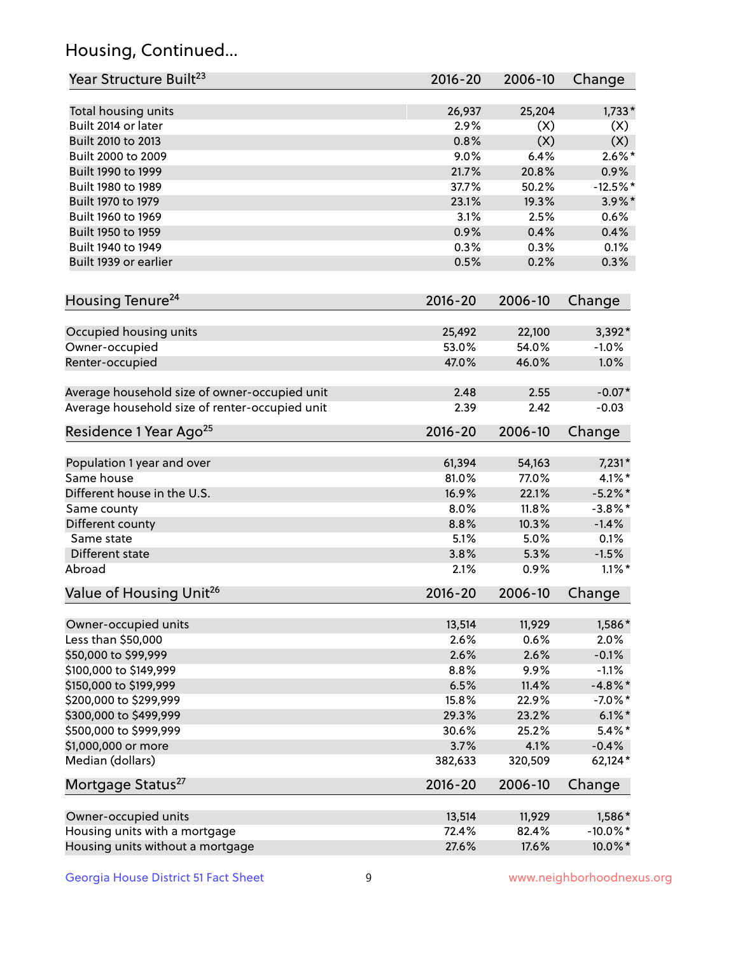## Housing, Continued...

| Year Structure Built <sup>23</sup>             | 2016-20     | 2006-10 | Change      |
|------------------------------------------------|-------------|---------|-------------|
| Total housing units                            | 26,937      | 25,204  | $1,733*$    |
| Built 2014 or later                            | 2.9%        | (X)     | (X)         |
| Built 2010 to 2013                             | 0.8%        | (X)     | (X)         |
| Built 2000 to 2009                             | 9.0%        | 6.4%    | $2.6\%$ *   |
| Built 1990 to 1999                             | 21.7%       | 20.8%   | 0.9%        |
| Built 1980 to 1989                             | 37.7%       | 50.2%   | $-12.5%$ *  |
| Built 1970 to 1979                             | 23.1%       | 19.3%   | $3.9\%$ *   |
| Built 1960 to 1969                             | 3.1%        | 2.5%    | 0.6%        |
| Built 1950 to 1959                             | 0.9%        | 0.4%    | 0.4%        |
| Built 1940 to 1949                             | 0.3%        | 0.3%    | 0.1%        |
| Built 1939 or earlier                          | 0.5%        | 0.2%    | 0.3%        |
| Housing Tenure <sup>24</sup>                   | $2016 - 20$ | 2006-10 | Change      |
|                                                |             |         |             |
| Occupied housing units                         | 25,492      | 22,100  | 3,392*      |
| Owner-occupied                                 | 53.0%       | 54.0%   | $-1.0%$     |
| Renter-occupied                                | 47.0%       | 46.0%   | 1.0%        |
| Average household size of owner-occupied unit  | 2.48        | 2.55    | $-0.07*$    |
| Average household size of renter-occupied unit | 2.39        | 2.42    | $-0.03$     |
| Residence 1 Year Ago <sup>25</sup>             | $2016 - 20$ | 2006-10 | Change      |
| Population 1 year and over                     | 61,394      | 54,163  | $7,231*$    |
| Same house                                     | 81.0%       | 77.0%   | $4.1\%$ *   |
| Different house in the U.S.                    | 16.9%       | 22.1%   | $-5.2\%$ *  |
| Same county                                    | 8.0%        | 11.8%   | $-3.8\%$ *  |
| Different county                               | 8.8%        | 10.3%   | $-1.4%$     |
| Same state                                     | 5.1%        | 5.0%    | 0.1%        |
| Different state                                | 3.8%        | 5.3%    | $-1.5%$     |
| Abroad                                         | 2.1%        | 0.9%    | $1.1\%$ *   |
| Value of Housing Unit <sup>26</sup>            | 2016-20     | 2006-10 | Change      |
|                                                |             |         |             |
| Owner-occupied units                           | 13,514      | 11,929  | 1,586*      |
| Less than \$50,000                             | 2.6%        | 0.6%    | 2.0%        |
| \$50,000 to \$99,999                           | 2.6%        | 2.6%    | $-0.1%$     |
| \$100,000 to \$149,999                         | 8.8%        | 9.9%    | $-1.1%$     |
| \$150,000 to \$199,999                         | 6.5%        | 11.4%   | $-4.8\%$ *  |
| \$200,000 to \$299,999                         | 15.8%       | 22.9%   | $-7.0\%$ *  |
| \$300,000 to \$499,999                         | 29.3%       | 23.2%   | $6.1\%$ *   |
| \$500,000 to \$999,999                         | 30.6%       | 25.2%   | $5.4\%$ *   |
| \$1,000,000 or more                            | 3.7%        | 4.1%    | $-0.4%$     |
| Median (dollars)                               | 382,633     | 320,509 | 62,124*     |
| Mortgage Status <sup>27</sup>                  | $2016 - 20$ | 2006-10 | Change      |
| Owner-occupied units                           | 13,514      | 11,929  | 1,586*      |
| Housing units with a mortgage                  | 72.4%       | 82.4%   | $-10.0\%$ * |
| Housing units without a mortgage               | 27.6%       | 17.6%   | 10.0%*      |
|                                                |             |         |             |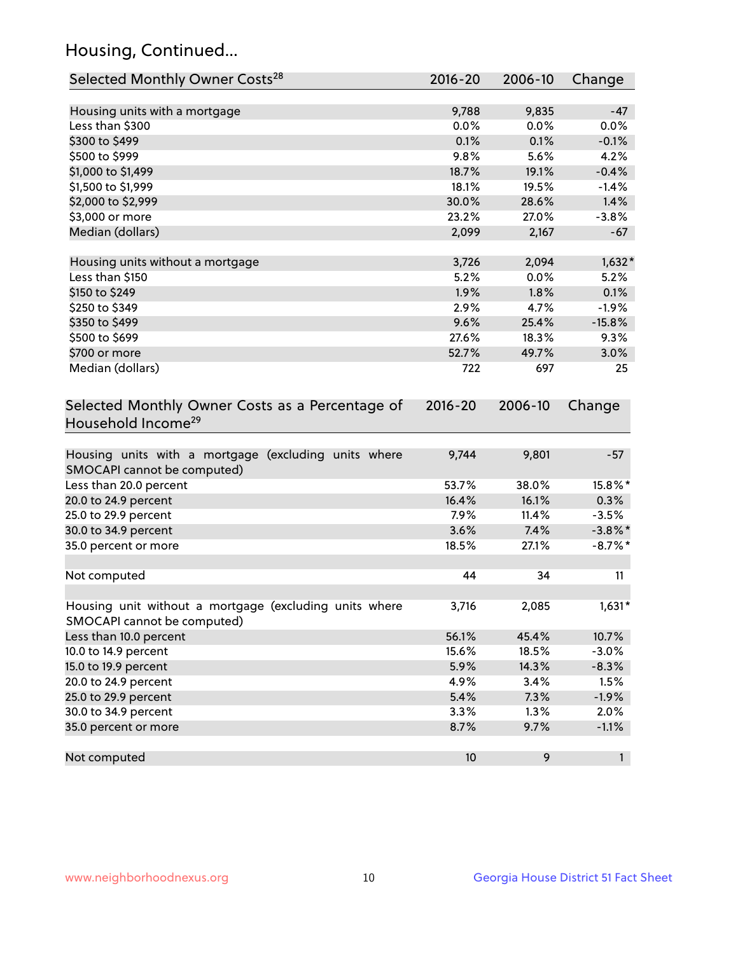## Housing, Continued...

| Selected Monthly Owner Costs <sup>28</sup>                                            | 2016-20     | 2006-10 | Change     |
|---------------------------------------------------------------------------------------|-------------|---------|------------|
| Housing units with a mortgage                                                         | 9,788       | 9,835   | $-47$      |
| Less than \$300                                                                       | 0.0%        | 0.0%    | 0.0%       |
| \$300 to \$499                                                                        | 0.1%        | 0.1%    | $-0.1%$    |
| \$500 to \$999                                                                        | 9.8%        | 5.6%    | 4.2%       |
| \$1,000 to \$1,499                                                                    | 18.7%       | 19.1%   | $-0.4%$    |
| \$1,500 to \$1,999                                                                    | 18.1%       | 19.5%   | $-1.4%$    |
| \$2,000 to \$2,999                                                                    | 30.0%       | 28.6%   | 1.4%       |
| \$3,000 or more                                                                       | 23.2%       | 27.0%   | $-3.8%$    |
| Median (dollars)                                                                      | 2,099       | 2,167   | $-67$      |
|                                                                                       |             |         |            |
| Housing units without a mortgage                                                      | 3,726       | 2,094   | $1,632*$   |
| Less than \$150                                                                       | 5.2%        | 0.0%    | 5.2%       |
| \$150 to \$249                                                                        | 1.9%        | 1.8%    | 0.1%       |
| \$250 to \$349                                                                        | 2.9%        | 4.7%    | $-1.9%$    |
| \$350 to \$499                                                                        | 9.6%        | 25.4%   | $-15.8%$   |
| \$500 to \$699                                                                        | 27.6%       | 18.3%   | 9.3%       |
| \$700 or more                                                                         | 52.7%       | 49.7%   | 3.0%       |
| Median (dollars)                                                                      | 722         | 697     | 25         |
| Selected Monthly Owner Costs as a Percentage of<br>Household Income <sup>29</sup>     | $2016 - 20$ | 2006-10 | Change     |
| Housing units with a mortgage (excluding units where<br>SMOCAPI cannot be computed)   | 9,744       | 9,801   | $-57$      |
| Less than 20.0 percent                                                                | 53.7%       | 38.0%   | 15.8%*     |
| 20.0 to 24.9 percent                                                                  | 16.4%       | 16.1%   | 0.3%       |
| 25.0 to 29.9 percent                                                                  | 7.9%        | 11.4%   | $-3.5%$    |
| 30.0 to 34.9 percent                                                                  | 3.6%        | 7.4%    | $-3.8\%$ * |
| 35.0 percent or more                                                                  | 18.5%       | 27.1%   | $-8.7\%$ * |
| Not computed                                                                          | 44          | 34      | 11         |
|                                                                                       |             |         |            |
| Housing unit without a mortgage (excluding units where<br>SMOCAPI cannot be computed) | 3,716       | 2,085   | $1,631*$   |
| Less than 10.0 percent                                                                | 56.1%       | 45.4%   | 10.7%      |
| 10.0 to 14.9 percent                                                                  | 15.6%       | 18.5%   | $-3.0%$    |
| 15.0 to 19.9 percent                                                                  | 5.9%        | 14.3%   | $-8.3%$    |
| 20.0 to 24.9 percent                                                                  | 4.9%        | 3.4%    | 1.5%       |
| 25.0 to 29.9 percent                                                                  | 5.4%        | 7.3%    | $-1.9%$    |
| 30.0 to 34.9 percent                                                                  | 3.3%        | 1.3%    | 2.0%       |
| 35.0 percent or more                                                                  | 8.7%        | 9.7%    | $-1.1%$    |
| Not computed                                                                          | 10          | 9       | 1          |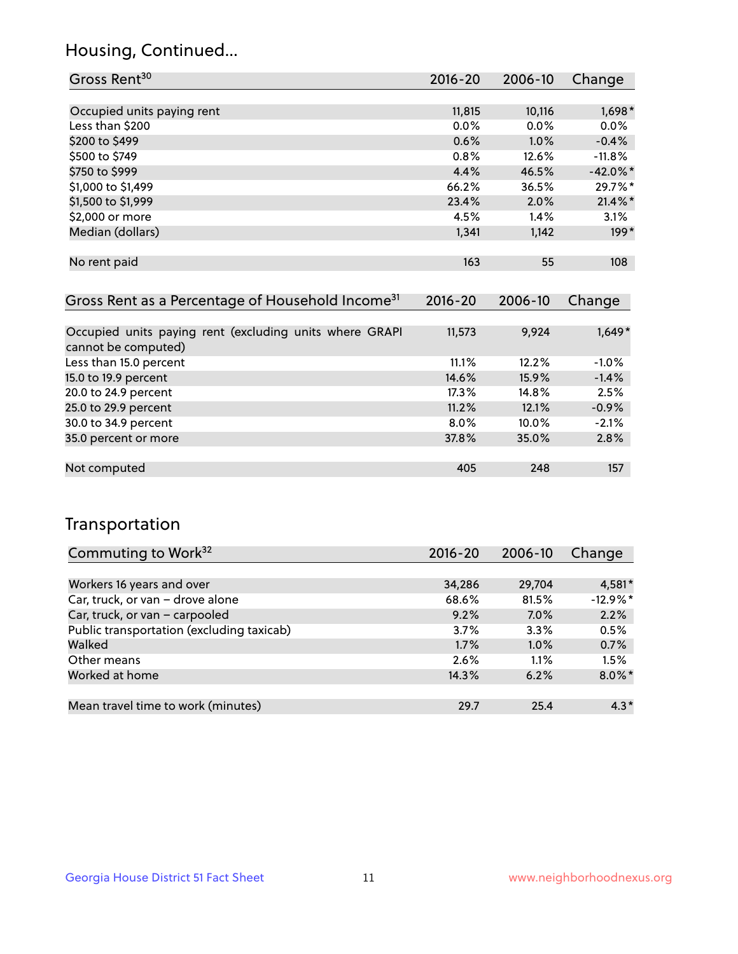## Housing, Continued...

| Gross Rent <sup>30</sup>   | 2016-20 | 2006-10 | Change      |
|----------------------------|---------|---------|-------------|
|                            |         |         |             |
| Occupied units paying rent | 11,815  | 10,116  | 1,698*      |
| Less than \$200            | $0.0\%$ | $0.0\%$ | 0.0%        |
| \$200 to \$499             | 0.6%    | 1.0%    | $-0.4%$     |
| \$500 to \$749             | 0.8%    | 12.6%   | $-11.8%$    |
| \$750 to \$999             | 4.4%    | 46.5%   | $-42.0\%$ * |
| \$1,000 to \$1,499         | 66.2%   | 36.5%   | 29.7%*      |
| \$1,500 to \$1,999         | 23.4%   | 2.0%    | $21.4\%$ *  |
| \$2,000 or more            | 4.5%    | 1.4%    | 3.1%        |
| Median (dollars)           | 1,341   | 1,142   | $199*$      |
|                            |         |         |             |
| No rent paid               | 163     | 55      | 108         |

| Gross Rent as a Percentage of Household Income <sup>31</sup>                   | $2016 - 20$ | 2006-10  | Change   |
|--------------------------------------------------------------------------------|-------------|----------|----------|
|                                                                                |             |          |          |
| Occupied units paying rent (excluding units where GRAPI<br>cannot be computed) | 11,573      | 9,924    | $1,649*$ |
| Less than 15.0 percent                                                         | 11.1%       | 12.2%    | $-1.0%$  |
| 15.0 to 19.9 percent                                                           | 14.6%       | 15.9%    | $-1.4%$  |
| 20.0 to 24.9 percent                                                           | 17.3%       | 14.8%    | 2.5%     |
| 25.0 to 29.9 percent                                                           | 11.2%       | 12.1%    | $-0.9%$  |
| 30.0 to 34.9 percent                                                           | $8.0\%$     | $10.0\%$ | $-2.1%$  |
| 35.0 percent or more                                                           | 37.8%       | 35.0%    | 2.8%     |
|                                                                                |             |          |          |
| Not computed                                                                   | 405         | 248      | 157      |

## Transportation

| Commuting to Work <sup>32</sup>           | 2016-20 | 2006-10 | Change    |
|-------------------------------------------|---------|---------|-----------|
|                                           |         |         |           |
| Workers 16 years and over                 | 34,286  | 29,704  | 4,581*    |
| Car, truck, or van - drove alone          | 68.6%   | 81.5%   | $-12.9%$  |
| Car, truck, or van - carpooled            | 9.2%    | $7.0\%$ | 2.2%      |
| Public transportation (excluding taxicab) | 3.7%    | 3.3%    | 0.5%      |
| Walked                                    | 1.7%    | 1.0%    | 0.7%      |
| Other means                               | 2.6%    | $1.1\%$ | 1.5%      |
| Worked at home                            | 14.3%   | 6.2%    | $8.0\%$ * |
|                                           |         |         |           |
| Mean travel time to work (minutes)        | 29.7    | 25.4    | $4.3*$    |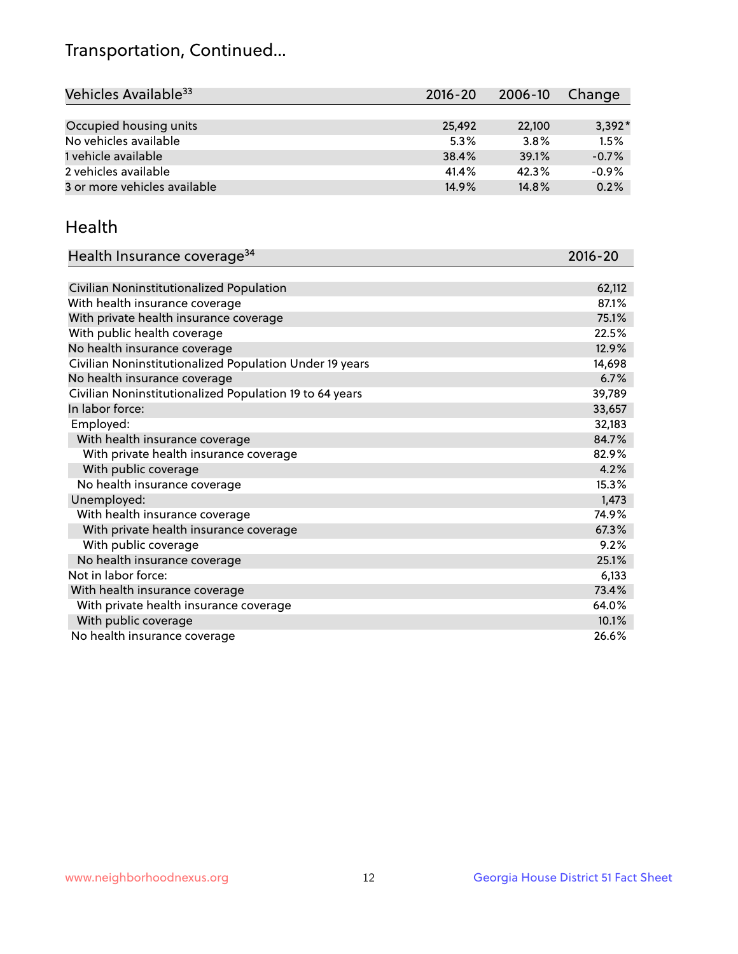## Transportation, Continued...

| Vehicles Available <sup>33</sup> | $2016 - 20$ | 2006-10 | Change   |
|----------------------------------|-------------|---------|----------|
|                                  |             |         |          |
| Occupied housing units           | 25,492      | 22,100  | $3,392*$ |
| No vehicles available            | 5.3%        | 3.8%    | 1.5%     |
| 1 vehicle available              | 38.4%       | 39.1%   | $-0.7%$  |
| 2 vehicles available             | 41.4%       | 42.3%   | $-0.9%$  |
| 3 or more vehicles available     | 14.9%       | 14.8%   | 0.2%     |

#### Health

| Health Insurance coverage <sup>34</sup>                 | 2016-20 |
|---------------------------------------------------------|---------|
|                                                         |         |
| Civilian Noninstitutionalized Population                | 62,112  |
| With health insurance coverage                          | 87.1%   |
| With private health insurance coverage                  | 75.1%   |
| With public health coverage                             | 22.5%   |
| No health insurance coverage                            | 12.9%   |
| Civilian Noninstitutionalized Population Under 19 years | 14,698  |
| No health insurance coverage                            | 6.7%    |
| Civilian Noninstitutionalized Population 19 to 64 years | 39,789  |
| In labor force:                                         | 33,657  |
| Employed:                                               | 32,183  |
| With health insurance coverage                          | 84.7%   |
| With private health insurance coverage                  | 82.9%   |
| With public coverage                                    | 4.2%    |
| No health insurance coverage                            | 15.3%   |
| Unemployed:                                             | 1,473   |
| With health insurance coverage                          | 74.9%   |
| With private health insurance coverage                  | 67.3%   |
| With public coverage                                    | 9.2%    |
| No health insurance coverage                            | 25.1%   |
| Not in labor force:                                     | 6,133   |
| With health insurance coverage                          | 73.4%   |
| With private health insurance coverage                  | 64.0%   |
| With public coverage                                    | 10.1%   |
| No health insurance coverage                            | 26.6%   |